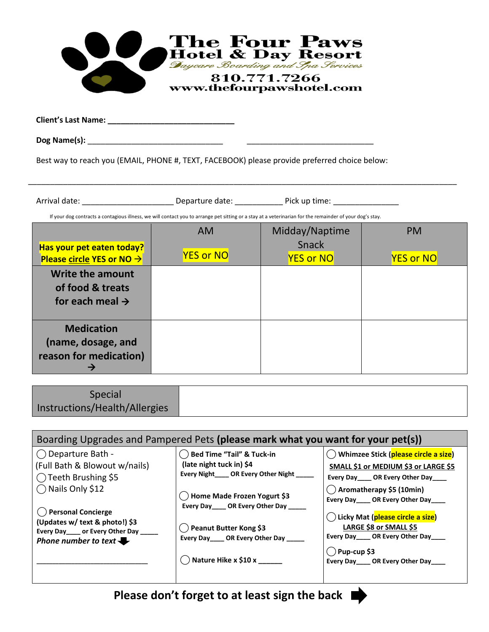| <b>The Four Paws</b><br><b>Hotel &amp; Day Resort</b><br>Daycare Boarding and Spa Services |
|--------------------------------------------------------------------------------------------|
| 810.771.7266<br>www.thefourpawshotel.com                                                   |

 **Client's Last Name: \_\_\_\_\_\_\_\_\_\_\_\_\_\_\_\_\_\_\_\_\_\_\_\_\_\_\_\_\_** 

**Dog Name(s):** \_\_\_\_\_\_\_\_\_\_\_\_\_\_\_\_\_\_\_\_\_\_\_\_\_\_\_\_\_\_\_ \_\_\_\_\_\_\_\_\_\_\_\_\_\_\_\_\_\_\_\_\_\_\_\_\_\_\_\_\_

Best way to reach you (EMAIL, PHONE #, TEXT, FACEBOOK) please provide preferred choice below:

\_\_\_\_\_\_\_\_\_\_\_\_\_\_\_\_\_\_\_\_\_\_\_\_\_\_\_\_\_\_\_\_\_\_\_\_\_\_\_\_\_\_\_\_\_\_\_\_\_\_\_\_\_\_\_\_\_\_\_\_\_\_\_\_\_\_\_\_\_\_\_\_\_\_\_\_\_\_\_\_\_\_\_\_\_\_\_\_\_\_\_\_\_\_\_\_\_\_

Arrival date: \_\_\_\_\_\_\_\_\_\_\_\_\_\_\_\_\_\_\_\_\_\_\_\_\_\_\_\_\_ Departure date: \_\_\_\_\_\_\_\_\_\_\_\_\_\_\_\_\_\_\_\_Pick up time: \_\_\_\_\_\_\_\_\_\_\_\_\_\_\_\_

If your dog contracts a contagious illness, we will contact you to arrange pet sitting or a stay at a veterinarian for the remainder of your dog's stay.

| Has your pet eaten today?                                                  | <b>AM</b>        | Midday/Naptime<br>Snack | <b>PM</b>        |
|----------------------------------------------------------------------------|------------------|-------------------------|------------------|
| Please circle YES or NO $\rightarrow$                                      | <b>YES or NO</b> | <b>YES or NO</b>        | <b>YES or NO</b> |
| <b>Write the amount</b><br>of food & treats<br>for each meal $\rightarrow$ |                  |                         |                  |
| <b>Medication</b><br>(name, dosage, and<br>reason for medication)          |                  |                         |                  |

| Boarding Upgrades and Pampered Pets (please mark what you want for your pet(s))                                                                                 |                                                                                                                                                                                                                                                 |  |  |  |  |  |
|-----------------------------------------------------------------------------------------------------------------------------------------------------------------|-------------------------------------------------------------------------------------------------------------------------------------------------------------------------------------------------------------------------------------------------|--|--|--|--|--|
| ( ) Bed Time "Tail" & Tuck-in<br>(late night tuck in) \$4<br>Every Night____ OR Every Other Night ____                                                          | ( ) Whimzee Stick ( <mark>please circle a size</mark> )<br>SMALL \$1 or MEDIUM \$3 or LARGE \$5<br>Every Day_____ OR Every Other Day____                                                                                                        |  |  |  |  |  |
| () Home Made Frozen Yogurt \$3<br>Every Day _____ OR Every Other Day _____<br>() Peanut Butter Kong \$3<br>Every Day OR Every Other Day<br>Nature Hike x \$10 x | $($ ) Aromatherapy \$5 (10min)<br>Every Day____ OR Every Other Day____<br>C Licky Mat (please circle a size)<br>LARGE \$8 or SMALL \$5<br>Every Day____ OR Every Other Day____<br>$\int$ ) Pup-cup \$3<br>Every Day_____ OR Every Other Day____ |  |  |  |  |  |
|                                                                                                                                                                 |                                                                                                                                                                                                                                                 |  |  |  |  |  |

**Please don't forget to at least sign the back**